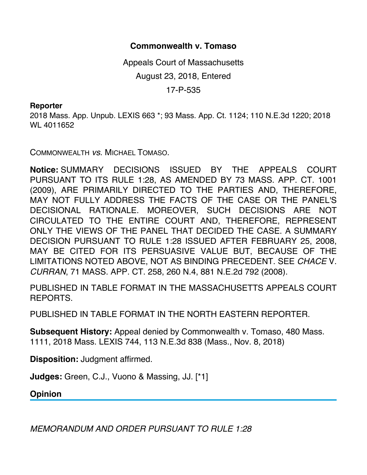## **Commonwealth v. Tomaso**

Appeals Court of Massachusetts August 23, 2018, Entered 17-P-535

## **Reporter**

2018 Mass. App. Unpub. LEXIS 663 \*; 93 Mass. App. Ct. 1124; 110 N.E.3d 1220; 2018 WL 4011652

COMMONWEALTH *vs*. MICHAEL TOMASO.

**Notice:** SUMMARY DECISIONS ISSUED BY THE APPEALS COURT PURSUANT TO ITS RULE 1:28, AS AMENDED BY 73 MASS. APP. CT. 1001 (2009), ARE PRIMARILY DIRECTED TO THE PARTIES AND, THEREFORE, MAY NOT FULLY ADDRESS THE FACTS OF THE CASE OR THE PANEL'S DECISIONAL RATIONALE. MOREOVER, SUCH DECISIONS ARE NOT CIRCULATED TO THE ENTIRE COURT AND, THEREFORE, REPRESENT ONLY THE VIEWS OF THE PANEL THAT DECIDED THE CASE. A SUMMARY DECISION PURSUANT TO RULE 1:28 ISSUED AFTER FEBRUARY 25, 2008, MAY BE CITED FOR ITS PERSUASIVE VALUE BUT, BECAUSE OF THE LIMITATIONS NOTED ABOVE, NOT AS BINDING PRECEDENT. SEE *CHACE* V. *CURRAN*, 71 MASS. APP. CT. 258, 260 N.4, 881 N.E.2d 792 (2008).

PUBLISHED IN TABLE FORMAT IN THE MASSACHUSETTS APPEALS COURT REPORTS.

PUBLISHED IN TABLE FORMAT IN THE NORTH EASTERN REPORTER.

**Subsequent History:** Appeal denied by Commonwealth v. Tomaso, 480 Mass. 1111, 2018 Mass. LEXIS 744, 113 N.E.3d 838 (Mass., Nov. 8, 2018)

**Disposition:** Judgment affirmed.

**Judges:** Green, C.J., Vuono & Massing, JJ. [\*1]

**Opinion**

*MEMORANDUM AND ORDER PURSUANT TO RULE 1:28*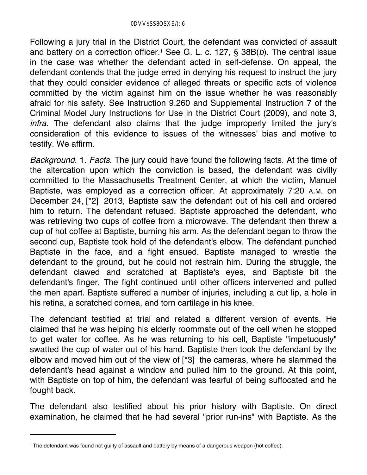Following a jury trial in the District Court, the defendant was convicted of assault and battery on a correction officer.<sup>1</sup> See G. L. c. 127, § 38B(b). The central issue in the case was whether the defendant acted in self-defense. On appeal, the defendant contends that the judge erred in denying his request to instruct the jury that they could consider evidence of alleged threats or specific acts of violence committed by the victim against him on the issue whether he was reasonably afraid for his safety. See Instruction 9.260 and Supplemental Instruction 7 of the Criminal Model Jury Instructions for Use in the District Court (2009), and note 3, *infra*. The defendant also claims that the judge improperly limited the jury's consideration of this evidence to issues of the witnesses' bias and motive to testify. We affirm.

*Background*. 1. *Facts*. The jury could have found the following facts. At the time of the altercation upon which the conviction is based, the defendant was civilly committed to the Massachusetts Treatment Center, at which the victim, Manuel Baptiste, was employed as a correction officer. At approximately 7:20 A.M. on December 24, [\*2] 2013, Baptiste saw the defendant out of his cell and ordered him to return. The defendant refused. Baptiste approached the defendant, who was retrieving two cups of coffee from a microwave. The defendant then threw a cup of hot coffee at Baptiste, burning his arm. As the defendant began to throw the second cup, Baptiste took hold of the defendant's elbow. The defendant punched Baptiste in the face, and a fight ensued. Baptiste managed to wrestle the defendant to the ground, but he could not restrain him. During the struggle, the defendant clawed and scratched at Baptiste's eyes, and Baptiste bit the defendant's finger. The fight continued until other officers intervened and pulled the men apart. Baptiste suffered a number of injuries, including a cut lip, a hole in his retina, a scratched cornea, and torn cartilage in his knee.

The defendant testified at trial and related a different version of events. He claimed that he was helping his elderly roommate out of the cell when he stopped to get water for coffee. As he was returning to his cell, Baptiste "impetuously" swatted the cup of water out of his hand. Baptiste then took the defendant by the elbow and moved him out of the view of [\*3] the cameras, where he slammed the defendant's head against a window and pulled him to the ground. At this point, with Baptiste on top of him, the defendant was fearful of being suffocated and he fought back.

The defendant also testified about his prior history with Baptiste. On direct examination, he claimed that he had several "prior run-ins" with Baptiste. As the

<sup>1</sup> The defendant was found not guilty of assault and battery by means of a dangerous weapon (hot coffee).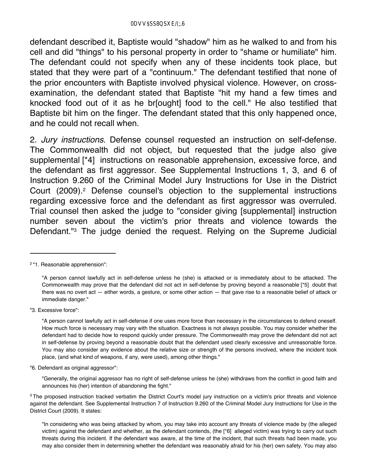defendant described it, Baptiste would "shadow" him as he walked to and from his cell and did "things" to his personal property in order to "shame or humiliate" him. The defendant could not specify when any of these incidents took place, but stated that they were part of a "continuum." The defendant testified that none of the prior encounters with Baptiste involved physical violence. However, on crossexamination, the defendant stated that Baptiste "hit my hand a few times and knocked food out of it as he br[ought] food to the cell." He also testified that Baptiste bit him on the finger. The defendant stated that this only happened once, and he could not recall when.

2. *Jury instructions*. Defense counsel requested an instruction on self-defense. The Commonwealth did not object, but requested that the judge also give supplemental [\*4] instructions on reasonable apprehension, excessive force, and the defendant as first aggressor. See Supplemental Instructions 1, 3, and 6 of Instruction 9.260 of the Criminal Model Jury Instructions for Use in the District Court (2009).2 Defense counsel's objection to the supplemental instructions regarding excessive force and the defendant as first aggressor was overruled. Trial counsel then asked the judge to "consider giving [supplemental] instruction number seven about the victim's prior threats and violence towards the Defendant."3 The judge denied the request. Relying on the Supreme Judicial

"3. Excessive force":

"6. Defendant as original aggressor":

"Generally, the original aggressor has no right of self-defense unless he (she) withdraws from the conflict in good faith and announces his (her) intention of abandoning the fight."

<sup>2 &</sup>quot;1. Reasonable apprehension":

<sup>&</sup>quot;A person cannot lawfully act in self-defense unless he (she) is attacked or is immediately about to be attacked. The Commonwealth may prove that the defendant did not act in self-defense by proving beyond a reasonable [\*5] doubt that there was no overt act — either words, a gesture, or some other action — that gave rise to a reasonable belief of attack or immediate danger."

<sup>&</sup>quot;A person cannot lawfully act in self-defense if one uses more force than necessary in the circumstances to defend oneself. How much force is necessary may vary with the situation. Exactness is not always possible. You may consider whether the defendant had to decide how to respond quickly under pressure. The Commonwealth may prove the defendant did not act in self-defense by proving beyond a reasonable doubt that the defendant used clearly excessive and unreasonable force. You may also consider any evidence about the relative size or strength of the persons involved, where the incident took place, (and what kind of weapons, if any, were used), among other things."

<sup>&</sup>lt;sup>3</sup> The proposed instruction tracked verbatim the District Court's model jury instruction on a victim's prior threats and violence against the defendant. See Supplemental Instruction 7 of Instruction 9.260 of the Criminal Model Jury Instructions for Use in the District Court (2009). It states:

<sup>&</sup>quot;In considering who was being attacked by whom, you may take into account any threats of violence made by (the alleged victim) against the defendant and whether, as the defendant contends, (the [\*6] alleged victim) was trying to carry out such threats during this incident. If the defendant was aware, at the time of the incident, that such threats had been made, you may also consider them in determining whether the defendant was reasonably afraid for his (her) own safety. You may also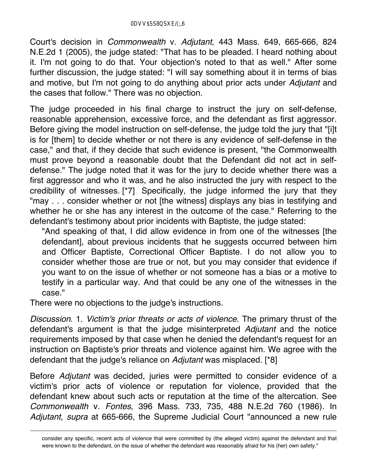Court's decision in *Commonwealth* v. *Adjutant*, 443 Mass. 649, 665-666, 824 N.E.2d 1 (2005), the judge stated: "That has to be pleaded. I heard nothing about it. I'm not going to do that. Your objection's noted to that as well." After some further discussion, the judge stated: "I will say something about it in terms of bias and motive, but I'm not going to do anything about prior acts under *Adjutant* and the cases that follow." There was no objection.

The judge proceeded in his final charge to instruct the jury on self-defense, reasonable apprehension, excessive force, and the defendant as first aggressor. Before giving the model instruction on self-defense, the judge told the jury that "[i]t is for [them] to decide whether or not there is any evidence of self-defense in the case," and that, if they decide that such evidence is present, "the Commonwealth must prove beyond a reasonable doubt that the Defendant did not act in selfdefense." The judge noted that it was for the jury to decide whether there was a first aggressor and who it was, and he also instructed the jury with respect to the credibility of witnesses. [\*7] Specifically, the judge informed the jury that they "may . . . consider whether or not [the witness] displays any bias in testifying and whether he or she has any interest in the outcome of the case." Referring to the defendant's testimony about prior incidents with Baptiste, the judge stated:

"And speaking of that, I did allow evidence in from one of the witnesses [the defendant], about previous incidents that he suggests occurred between him and Officer Baptiste, Correctional Officer Baptiste. I do not allow you to consider whether those are true or not, but you may consider that evidence if you want to on the issue of whether or not someone has a bias or a motive to testify in a particular way. And that could be any one of the witnesses in the case."

There were no objections to the judge's instructions.

*Discussion*. 1. *Victim's prior threats or acts of violence*. The primary thrust of the defendant's argument is that the judge misinterpreted *Adjutant* and the notice requirements imposed by that case when he denied the defendant's request for an instruction on Baptiste's prior threats and violence against him. We agree with the defendant that the judge's reliance on *Adjutant* was misplaced. [\*8]

Before *Adjutant* was decided, juries were permitted to consider evidence of a victim's prior acts of violence or reputation for violence, provided that the defendant knew about such acts or reputation at the time of the altercation. See *Commonwealth* v. *Fontes*, 396 Mass. 733, 735, 488 N.E.2d 760 (1986). In *Adjutant*, *supra* at 665-666, the Supreme Judicial Court "announced a new rule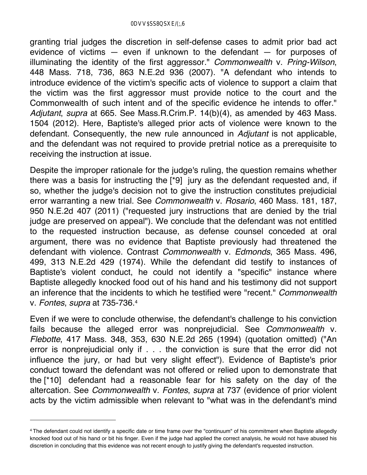granting trial judges the discretion in self-defense cases to admit prior bad act evidence of victims — even if unknown to the defendant — for purposes of illuminating the identity of the first aggressor." *Commonwealth* v. *Pring-Wilson*, 448 Mass. 718, 736, 863 N.E.2d 936 (2007). "A defendant who intends to introduce evidence of the victim's specific acts of violence to support a claim that the victim was the first aggressor must provide notice to the court and the Commonwealth of such intent and of the specific evidence he intends to offer." *Adjutant*, *supra* at 665. See Mass.R.Crim.P. 14(b)(4), as amended by 463 Mass. 1504 (2012). Here, Baptiste's alleged prior acts of violence were known to the defendant. Consequently, the new rule announced in *Adjutant* is not applicable, and the defendant was not required to provide pretrial notice as a prerequisite to receiving the instruction at issue.

Despite the improper rationale for the judge's ruling, the question remains whether there was a basis for instructing the [\*9] jury as the defendant requested and, if so, whether the judge's decision not to give the instruction constitutes prejudicial error warranting a new trial. See *Commonwealth* v. *Rosario*, 460 Mass. 181, 187, 950 N.E.2d 407 (2011) ("requested jury instructions that are denied by the trial judge are preserved on appeal"). We conclude that the defendant was not entitled to the requested instruction because, as defense counsel conceded at oral argument, there was no evidence that Baptiste previously had threatened the defendant with violence. Contrast *Commonwealth* v. *Edmonds*, 365 Mass. 496, 499, 313 N.E.2d 429 (1974). While the defendant did testify to instances of Baptiste's violent conduct, he could not identify a "specific" instance where Baptiste allegedly knocked food out of his hand and his testimony did not support an inference that the incidents to which he testified were "recent." *Commonwealth* v. *Fontes*, *supra* at 735-736.4

Even if we were to conclude otherwise, the defendant's challenge to his conviction fails because the alleged error was nonprejudicial. See *Commonwealth* v. *Flebotte*, 417 Mass. 348, 353, 630 N.E.2d 265 (1994) (quotation omitted) ("An error is nonprejudicial only if . . . the conviction is sure that the error did not influence the jury, or had but very slight effect"). Evidence of Baptiste's prior conduct toward the defendant was not offered or relied upon to demonstrate that the [\*10] defendant had a reasonable fear for his safety on the day of the altercation. See *Commonwealth* v. *Fontes*, *supra* at 737 (evidence of prior violent acts by the victim admissible when relevant to "what was in the defendant's mind

<sup>4</sup> The defendant could not identify a specific date or time frame over the "continuum" of his commitment when Baptiste allegedly knocked food out of his hand or bit his finger. Even if the judge had applied the correct analysis, he would not have abused his discretion in concluding that this evidence was not recent enough to justify giving the defendant's requested instruction.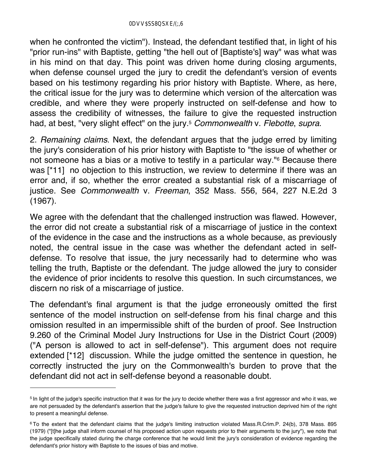when he confronted the victim"). Instead, the defendant testified that, in light of his "prior run-ins" with Baptiste, getting "the hell out of [Baptiste's] way" was what was in his mind on that day. This point was driven home during closing arguments, when defense counsel urged the jury to credit the defendant's version of events based on his testimony regarding his prior history with Baptiste. Where, as here, the critical issue for the jury was to determine which version of the altercation was credible, and where they were properly instructed on self-defense and how to assess the credibility of witnesses, the failure to give the requested instruction had, at best, "very slight effect" on the jury.5 *Commonwealth* v. *Flebotte*, *supra*.

2. *Remaining claims*. Next, the defendant argues that the judge erred by limiting the jury's consideration of his prior history with Baptiste to "the issue of whether or not someone has a bias or a motive to testify in a particular way."6 Because there was [\*11] no objection to this instruction, we review to determine if there was an error and, if so, whether the error created a substantial risk of a miscarriage of justice. See *Commonwealth* v. *Freeman*, 352 Mass. 556, 564, 227 N.E.2d 3 (1967).

We agree with the defendant that the challenged instruction was flawed. However, the error did not create a substantial risk of a miscarriage of justice in the context of the evidence in the case and the instructions as a whole because, as previously noted, the central issue in the case was whether the defendant acted in selfdefense. To resolve that issue, the jury necessarily had to determine who was telling the truth, Baptiste or the defendant. The judge allowed the jury to consider the evidence of prior incidents to resolve this question. In such circumstances, we discern no risk of a miscarriage of justice.

The defendant's final argument is that the judge erroneously omitted the first sentence of the model instruction on self-defense from his final charge and this omission resulted in an impermissible shift of the burden of proof. See Instruction 9.260 of the Criminal Model Jury Instructions for Use in the District Court (2009) ("A person is allowed to act in self-defense"). This argument does not require extended [\*12] discussion. While the judge omitted the sentence in question, he correctly instructed the jury on the Commonwealth's burden to prove that the defendant did not act in self-defense beyond a reasonable doubt.

<sup>&</sup>lt;sup>5</sup> In light of the judge's specific instruction that it was for the jury to decide whether there was a first aggressor and who it was, we are not persuaded by the defendant's assertion that the judge's failure to give the requested instruction deprived him of the right to present a meaningful defense.

<sup>6</sup> To the extent that the defendant claims that the judge's limiting instruction violated Mass.R.Crim.P. 24(b), 378 Mass. 895 (1979) ("[t]he judge shall inform counsel of his proposed action upon requests prior to their arguments to the jury"), we note that the judge specifically stated during the charge conference that he would limit the jury's consideration of evidence regarding the defendant's prior history with Baptiste to the issues of bias and motive.